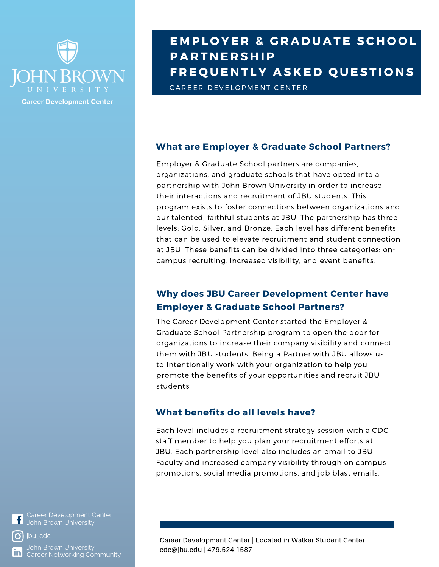

# **E M PL O YE R & G R A D U A T E SC H O O L P A R T N E R S H IP F R E Q U E N T LY A S K E D Q U E S T I O N S**

CAREER DEVELOPMENT CENTER

#### **What are Employer & Graduate School Partners?**

Employer & Graduate School partners are companies, organizations, and graduate schools that have opted into a partnership with John Brown University in order to increase their interactions and recruitment of JBU students. This program exists to foster connections between organizations and our talented, faithful students at JBU. The partnership has three levels: Gold, Silver, and Bronze. Each level has different benefits that can be used to elevate recruitment and student connection at JBU. These benefits can be divided into three categories: oncampus recruiting, increased visibility, and event benefits.

### **Why does JBU Career Development Center have Employer & Graduate School Partners?**

The Career Development Center started the Employer & Graduate School Partnership program to open the door for organizations to increase their company visibility and connect them with JBU students. Being a Partner with JBU allows us to intentionally work with your organization to help you promote the benefits of your opportunities and recruit JBU students.

#### **What benefits do all levels have?**

Each level includes a recruitment strategy session with a CDC staff member to help you plan your recruitment efforts at JBU. Each partnership level also includes an email to JBU Faculty and increased company visibility through on campus promotions, social media promotions, and job blast emails.

Career Development Center  $\vert f \vert$ 



John Brown University Career Networking Community Career Development Center | Located in Walker Student Center cdc@jbu.edu | 479.524.1587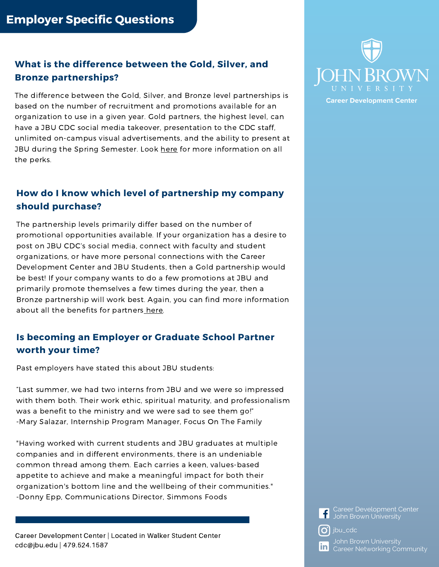## **What is the difference between the Gold, Silver, and Bronze partnerships?**

The difference between the Gold, Silver, and Bronze level partnerships is based on the number of recruitment and promotions available for an organization to use in a given year. Gold partners, the highest level, can have a JBU CDC social media takeover, presentation to the CDC staff, unlimited on-campus visual advertisements, and the ability to present at JBU during the Spring Semester. Look [here](https://www.jbu.edu/career-development/employers/) for more information on all the perks.

## **How do I know which level of partnership my company should purchase?**

The partnership levels primarily differ based on the number of promotional opportunities available. If your organization has a desire to post on JBU CDC's social media, connect with faculty and student organizations, or have more personal connections with the Career Development Center and JBU Students, then a Gold partnership would be best! If your company wants to do a few promotions at JBU and primarily promote themselves a few times during the year, then a Bronze partnership will work best. Again, you can find more information about all the benefits for partners [here.](https://www.jbu.edu/career-development/employers/)

## **Is becoming an Employer or Graduate School Partner worth your time?**

Past employers have stated this about JBU students:

"Last summer, we had two interns from JBU and we were so impressed with them both. Their work ethic, spiritual maturity, and professionalism was a benefit to the ministry and we were sad to see them go!" -Mary Salazar, Internship Program Manager, Focus On The Family

"Having worked with current students and JBU graduates at multiple companies and in different environments, there is an undeniable common thread among them. Each carries a keen, values-based appetite to achieve and make a meaningful impact for both their organization's bottom line and the wellbeing of their communities." -Donny Epp, Communications Director, Simmons Foods

Career Development Center | Located in Walker Student Center cdc@jbu.edu | 479.524.1587



**Linkedin** John Brown University Career Development Center

 $\omega$  jbu\_cdc

**In** Career [Networking](https://www.instagram.com/jbu_cdc/) Community John Brown University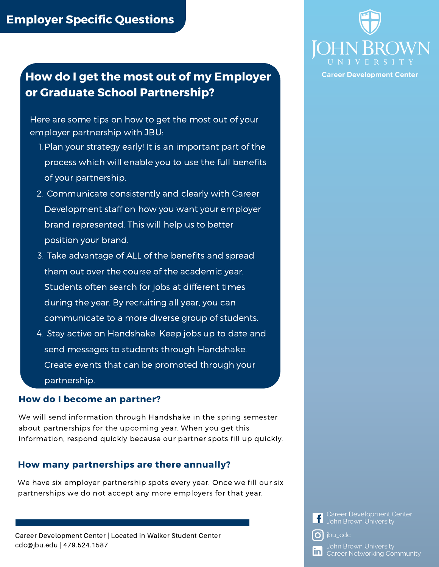## **How do I get the most out of my Employer or Graduate School Partnership?**

Here are some tips on how to get the most out of your employer partnership with JBU:

- 1. Plan your strategy early! It is an important part of the process which will enable you to use the full benefits of your partnership.
- 2. Communicate consistently and clearly with Career Development staff on how you want your employer brand represented. This will help us to better position your brand.
- 3. Take advantage of ALL of the benefits and spread them out over the course of the academic year. Students often search for jobs at different times during the year. By recruiting all year, you can communicate to a more diverse group of students.
- 4. Stay active on Handshake. Keep jobs up to date and send messages to students through Handshake. Create events that can be promoted through your partnership.

#### **How do I become an partner?**

We will send information through Handshake in the spring semester about partnerships for the upcoming year. When you get this information, respond quickly because our partner spots fill up quickly.

#### **How many partnerships are there annually?**

We have six employer partnership spots every year. Once we fill our six partnerships we do not accept any more employers for that year.





**Career Development Center** 

**Career Development Center<br>Luchn Brown University** John Brown University

 $\int$  jbu\_cdc

**J**ohn Brown University **in** Career Networking Community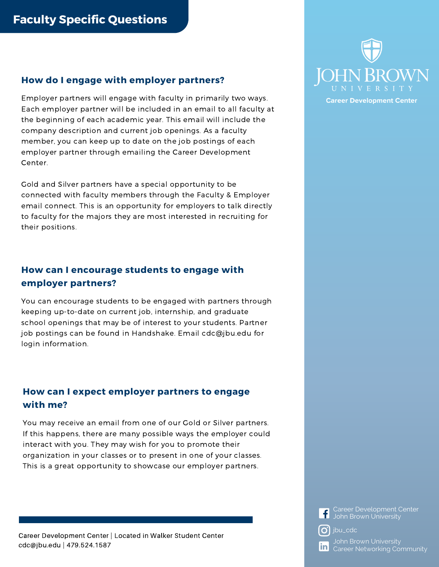#### **How do I engage with employer partners?**

Employer partners will engage with faculty in primarily two ways. Each employer partner will be included in an email to all faculty at the beginning of each academic year. This email will include the company description and current job openings. As a faculty member, you can keep up to date on the job postings of each employer partner through emailing the Career Development Center.

Gold and Silver partners have a special opportunity to be connected with faculty members through the Faculty & Employer email connect. This is an opportunity for employers to talk directly to faculty for the majors they are most interested in recruiting for their positions.

## **How can I encourage students to engage with employer partners?**

You can encourage students to be engaged with partners through keeping up-to-date on current job, internship, and graduate school openings that may be of interest to your students. Partner job postings can be found in Handshake. Email cdc@jbu.edu for login information.

## **How can I expect employer partners to engage with me?**

You may receive an email from one of our Gold or Silver partners. If this happens, there are many possible ways the employer could interact with you. They may wish for you to promote their organization in your classes or to present in one of your classes. This is a great opportunity to showcase our employer partners.



**Linkedin** John Brown University Career Development Center

 $\omega$  jbu\_cdc

**In** Career [Networking](https://www.instagram.com/jbu_cdc/) Community John Brown University

Career Development Center | Located in Walker Student Center cdc@jbu.edu | 479.524.1587